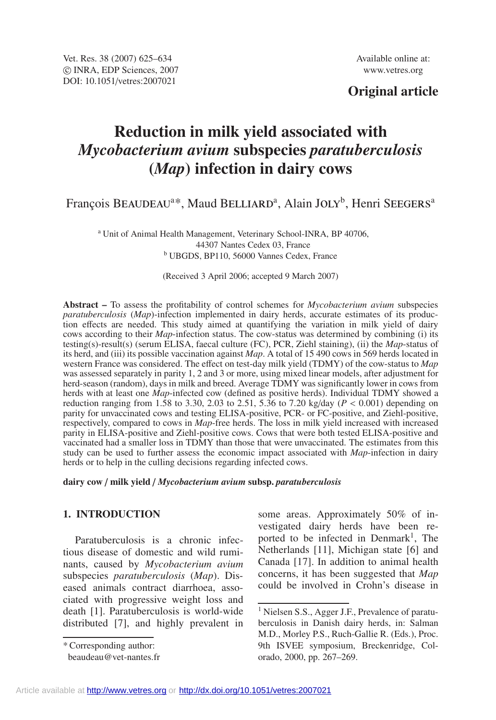# **Original article**

# **Reduction in milk yield associated with** *Mycobacterium avium* **subspecies** *paratuberculosis* **(***Map***) infection in dairy cows**

François BEAUDEAU<sup>a\*</sup>, Maud BELLIARD<sup>a</sup>, Alain JOLY<sup>b</sup>, Henri SEEGERS<sup>a</sup>

<sup>a</sup> Unit of Animal Health Management, Veterinary School-INRA, BP 40706, 44307 Nantes Cedex 03, France <sup>b</sup> UBGDS, BP110, 56000 Vannes Cedex, France

(Received 3 April 2006; accepted 9 March 2007)

**Abstract –** To assess the profitability of control schemes for *Mycobacterium avium* subspecies *paratuberculosis* (*Map*)-infection implemented in dairy herds, accurate estimates of its production effects are needed. This study aimed at quantifying the variation in milk yield of dairy cows according to their *Map*-infection status. The cow-status was determined by combining (i) its testing(s)-result(s) (serum ELISA, faecal culture (FC), PCR, Ziehl staining), (ii) the *Map*-status of its herd, and (iii) its possible vaccination against *Map*. A total of 15 490 cows in 569 herds located in western France was considered. The effect on test-day milk yield (TDMY) of the cow-status to *Map* was assessed separately in parity 1, 2 and 3 or more, using mixed linear models, after adjustment for herd-season (random), days in milk and breed. Average TDMY was significantly lower in cows from herds with at least one *Map*-infected cow (defined as positive herds). Individual TDMY showed a reduction ranging from 1.58 to 3.30, 2.03 to 2.51, 5.36 to 7.20 kg/day ( $P < 0.001$ ) depending on parity for unvaccinated cows and testing ELISA-positive, PCR- or FC-positive, and Ziehl-positive, respectively, compared to cows in *Map*-free herds. The loss in milk yield increased with increased parity in ELISA-positive and Ziehl-positive cows. Cows that were both tested ELISA-positive and vaccinated had a smaller loss in TDMY than those that were unvaccinated. The estimates from this study can be used to further assess the economic impact associated with *Map*-infection in dairy herds or to help in the culling decisions regarding infected cows.

**dairy cow** / **milk yield** / *Mycobacterium avium* **subsp.** *paratuberculosis*

# **1. INTRODUCTION**

Paratuberculosis is a chronic infectious disease of domestic and wild ruminants, caused by *Mycobacterium avium* subspecies *paratuberculosis* (*Map*). Diseased animals contract diarrhoea, associated with progressive weight loss and death [1]. Paratuberculosis is world-wide distributed [7], and highly prevalent in

\* Corresponding author:

some areas. Approximately 50% of investigated dairy herds have been reported to be infected in Denmark<sup>1</sup>, The Netherlands [11], Michigan state [6] and Canada [17]. In addition to animal health concerns, it has been suggested that *Map* could be involved in Crohn's disease in

beaudeau@vet-nantes.fr

<sup>&</sup>lt;sup>1</sup> Nielsen S.S., Agger J.F., Prevalence of paratuberculosis in Danish dairy herds, in: Salman M.D., Morley P.S., Ruch-Gallie R. (Eds.), Proc. 9th ISVEE symposium, Breckenridge, Colorado, 2000, pp. 267–269.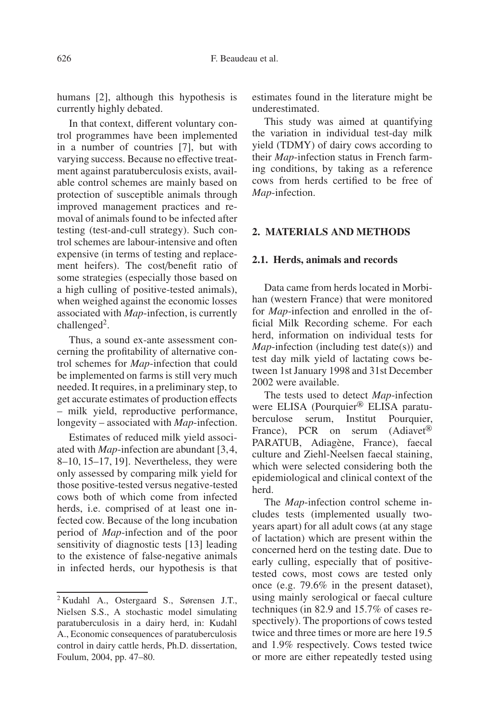humans [2], although this hypothesis is currently highly debated.

In that context, different voluntary control programmes have been implemented in a number of countries [7], but with varying success. Because no effective treatment against paratuberculosis exists, available control schemes are mainly based on protection of susceptible animals through improved management practices and removal of animals found to be infected after testing (test-and-cull strategy). Such control schemes are labour-intensive and often expensive (in terms of testing and replacement heifers). The cost/benefit ratio of some strategies (especially those based on a high culling of positive-tested animals), when weighed against the economic losses associated with *Map*-infection, is currently challenged<sup>2</sup>.

Thus, a sound ex-ante assessment concerning the profitability of alternative control schemes for *Map*-infection that could be implemented on farms is still very much needed. It requires, in a preliminary step, to get accurate estimates of production effects – milk yield, reproductive performance, longevity – associated with *Map*-infection.

Estimates of reduced milk yield associated with *Map*-infection are abundant [3,4, 8–10, 15–17, 19]. Nevertheless, they were only assessed by comparing milk yield for those positive-tested versus negative-tested cows both of which come from infected herds, i.e. comprised of at least one infected cow. Because of the long incubation period of *Map*-infection and of the poor sensitivity of diagnostic tests [13] leading to the existence of false-negative animals in infected herds, our hypothesis is that estimates found in the literature might be underestimated.

This study was aimed at quantifying the variation in individual test-day milk yield (TDMY) of dairy cows according to their *Map*-infection status in French farming conditions, by taking as a reference cows from herds certified to be free of *Map*-infection.

# **2. MATERIALS AND METHODS**

# **2.1. Herds, animals and records**

Data came from herds located in Morbihan (western France) that were monitored for *Map*-infection and enrolled in the official Milk Recording scheme. For each herd, information on individual tests for *Map*-infection (including test date(s)) and test day milk yield of lactating cows between 1st January 1998 and 31st December 2002 were available.

The tests used to detect *Map*-infection were ELISA (Pourquier<sup>®</sup> ELISA paratuberculose serum, Institut Pourquier, France), PCR on serum (Adiavet<sup>®</sup>) PARATUB, Adiagène, France), faecal culture and Ziehl-Neelsen faecal staining, which were selected considering both the epidemiological and clinical context of the herd.

The *Map*-infection control scheme includes tests (implemented usually twoyears apart) for all adult cows (at any stage of lactation) which are present within the concerned herd on the testing date. Due to early culling, especially that of positivetested cows, most cows are tested only once (e.g. 79.6% in the present dataset), using mainly serological or faecal culture techniques (in 82.9 and 15.7% of cases respectively). The proportions of cows tested twice and three times or more are here 19.5 and 1.9% respectively. Cows tested twice or more are either repeatedly tested using

<sup>2</sup> Kudahl A., Ostergaard S., Sørensen J.T., Nielsen S.S., A stochastic model simulating paratuberculosis in a dairy herd, in: Kudahl A., Economic consequences of paratuberculosis control in dairy cattle herds, Ph.D. dissertation, Foulum, 2004, pp. 47–80.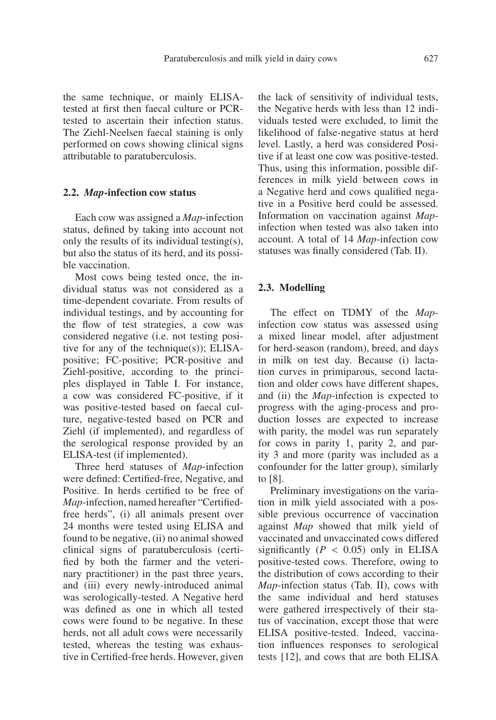the same technique, or mainly ELISAtested at first then faecal culture or PCRtested to ascertain their infection status. The Ziehl-Neelsen faecal staining is only performed on cows showing clinical signs attributable to paratuberculosis.

#### **2.2.** *Map***-infection cow status**

Each cow was assigned a *Map*-infection status, defined by taking into account not only the results of its individual testing(s), but also the status of its herd, and its possible vaccination.

Most cows being tested once, the individual status was not considered as a time-dependent covariate. From results of individual testings, and by accounting for the flow of test strategies, a cow was considered negative (i.e. not testing positive for any of the technique(s)); ELISApositive; FC-positive; PCR-positive and Ziehl-positive, according to the principles displayed in Table I. For instance, a cow was considered FC-positive, if it was positive-tested based on faecal culture, negative-tested based on PCR and Ziehl (if implemented), and regardless of the serological response provided by an ELISA-test (if implemented).

Three herd statuses of *Map*-infection were defined: Certified-free, Negative, and Positive. In herds certified to be free of *Map*-infection, named hereafter "Certifiedfree herds", (i) all animals present over 24 months were tested using ELISA and found to be negative, (ii) no animal showed clinical signs of paratuberculosis (certified by both the farmer and the veterinary practitioner) in the past three years, and (iii) every newly-introduced animal was serologically-tested. A Negative herd was defined as one in which all tested cows were found to be negative. In these herds, not all adult cows were necessarily tested, whereas the testing was exhaustive in Certified-free herds. However, given the lack of sensitivity of individual tests, the Negative herds with less than 12 individuals tested were excluded, to limit the likelihood of false-negative status at herd level. Lastly, a herd was considered Positive if at least one cow was positive-tested. Thus, using this information, possible differences in milk yield between cows in a Negative herd and cows qualified negative in a Positive herd could be assessed. Information on vaccination against *Map*infection when tested was also taken into account. A total of 14 *Map*-infection cow statuses was finally considered (Tab. II).

#### **2.3. Modelling**

The effect on TDMY of the *Map*infection cow status was assessed using a mixed linear model, after adjustment for herd-season (random), breed, and days in milk on test day. Because (i) lactation curves in primiparous, second lactation and older cows have different shapes, and (ii) the *Map*-infection is expected to progress with the aging-process and production losses are expected to increase with parity, the model was run separately for cows in parity 1, parity 2, and parity 3 and more (parity was included as a confounder for the latter group), similarly to [8].

Preliminary investigations on the variation in milk yield associated with a possible previous occurrence of vaccination against *Map* showed that milk yield of vaccinated and unvaccinated cows differed significantly  $(P < 0.05)$  only in ELISA positive-tested cows. Therefore, owing to the distribution of cows according to their *Map*-infection status (Tab. II), cows with the same individual and herd statuses were gathered irrespectively of their status of vaccination, except those that were ELISA positive-tested. Indeed, vaccination influences responses to serological tests [12], and cows that are both ELISA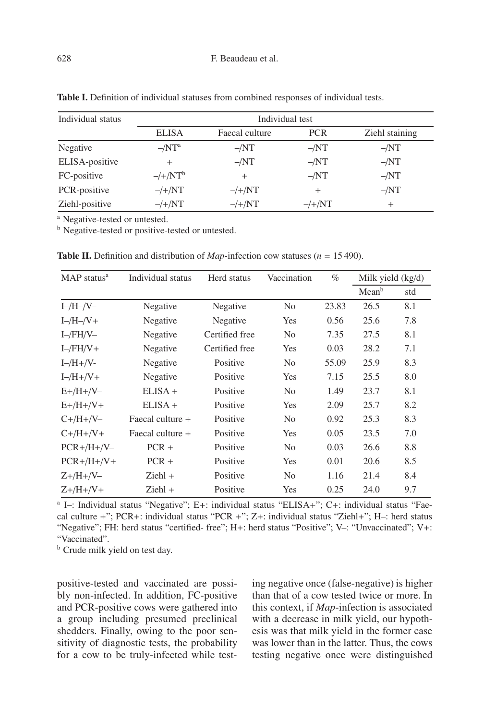| Individual status |                | Individual test  |                  |                |
|-------------------|----------------|------------------|------------------|----------------|
|                   | <b>ELISA</b>   | Faecal culture   | <b>PCR</b>       | Ziehl staining |
| Negative          | $-NT^a$        | $-NT$            | $-NT$            | $-NT$          |
| ELISA-positive    | $^{+}$         | $-NT$            | $-NT$            | $-NT$          |
| FC-positive       | $-/+/NT^b$     | $^{+}$           | $-NT$            | $-NT$          |
| PCR-positive      | $-\frac{1}{N}$ | $-\frac{\mu}{N}$ | $^{+}$           | $-NT$          |
| Ziehl-positive    | $-\frac{1}{N}$ | $-\frac{1}{N}$   | $-\frac{\mu}{N}$ | $^{+}$         |

**Table I.** Definition of individual statuses from combined responses of individual tests.

<sup>a</sup> Negative-tested or untested.

<sup>b</sup> Negative-tested or positive-tested or untested.

| MAP status <sup>a</sup> | Individual status | Herd status    | Vaccination    | $\%$  | Milk yield $(kg/d)$ |     |
|-------------------------|-------------------|----------------|----------------|-------|---------------------|-----|
|                         |                   |                |                |       | Mean <sup>b</sup>   | std |
| $I$ -/H-/V-             | Negative          | Negative       | N <sub>0</sub> | 23.83 | 26.5                | 8.1 |
| $I$ -/H-/V+             | Negative          | Negative       | Yes            | 0.56  | 25.6                | 7.8 |
| $I$ -/FH/V-             | Negative          | Certified free | N <sub>0</sub> | 7.35  | 27.5                | 8.1 |
| $I$ -/FH/V+             | Negative          | Certified free | Yes            | 0.03  | 28.2                | 7.1 |
| $I$ -/H+/V-             | Negative          | Positive       | N <sub>0</sub> | 55.09 | 25.9                | 8.3 |
| $I - /H + /V +$         | Negative          | Positive       | Yes            | 7.15  | 25.5                | 8.0 |
| $E+ / H + / V -$        | $ELISA +$         | Positive       | N <sub>0</sub> | 1.49  | 23.7                | 8.1 |
| $E+ / H + / V +$        | $ELISA +$         | Positive       | Yes            | 2.09  | 25.7                | 8.2 |
| $C+ / H+ / V-$          | Faecal culture +  | Positive       | N <sub>o</sub> | 0.92  | 25.3                | 8.3 |
| $C+ / H+ / V+$          | Faecal culture +  | Positive       | Yes            | 0.05  | 23.5                | 7.0 |
| $PCR+/H+/V-$            | $PCR +$           | Positive       | N <sub>0</sub> | 0.03  | 26.6                | 8.8 |
| $PCR+ / H + / V +$      | $PCR +$           | Positive       | Yes            | 0.01  | 20.6                | 8.5 |
| $Z + /H + /V -$         | $Ziehl +$         | Positive       | N <sub>o</sub> | 1.16  | 21.4                | 8.4 |
| $Z + /H + /V +$         | Ziehl +           | Positive       | Yes            | 0.25  | 24.0                | 9.7 |

**Table II.** Definition and distribution of *Map*-infection cow statuses ( $n = 15490$ ).

<sup>a</sup> I–: Individual status "Negative"; E+: individual status "ELISA+"; C+: individual status "Faecal culture +"; PCR+: individual status "PCR +"; Z+: individual status "Ziehl+"; H–: herd status "Negative"; FH: herd status "certified- free"; H+: herd status "Positive"; V–: "Unvaccinated"; V+: "Vaccinated".

**b** Crude milk yield on test day.

positive-tested and vaccinated are possibly non-infected. In addition, FC-positive and PCR-positive cows were gathered into a group including presumed preclinical shedders. Finally, owing to the poor sensitivity of diagnostic tests, the probability for a cow to be truly-infected while testing negative once (false-negative) is higher than that of a cow tested twice or more. In this context, if *Map*-infection is associated with a decrease in milk yield, our hypothesis was that milk yield in the former case was lower than in the latter. Thus, the cows testing negative once were distinguished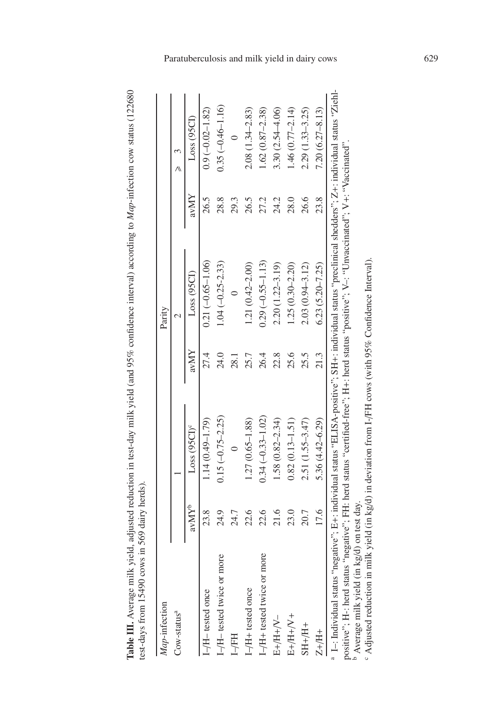Table III. Average milk yield, adjusted reduction in test-day milk yield (and 95% confidence interval) according to Map-infection cow status (122680 **Table III.** Average milk yield, adjusted reduction in test-day milk yield (and 95% confidence interval) according to *Map*-infection cow status (122680 test-days from 15490 cows in 569 dairy herds). test-days from 15490 cows in 569 dairy herds).

| Map-infection                                                                                                                                                                                                                                                                                                                                                  |                   |                          |      | Parity                 |      |                      |
|----------------------------------------------------------------------------------------------------------------------------------------------------------------------------------------------------------------------------------------------------------------------------------------------------------------------------------------------------------------|-------------------|--------------------------|------|------------------------|------|----------------------|
| $\text{Cow-status}^a$                                                                                                                                                                                                                                                                                                                                          |                   |                          |      | $\scriptstyle\sim$     |      | ر<br>ھ               |
|                                                                                                                                                                                                                                                                                                                                                                | avMY <sup>b</sup> | Loss (95CI) <sup>c</sup> | avMY | Loss (95CI)            | avMY | Loss(95CI)           |
| $-H$ -tested once                                                                                                                                                                                                                                                                                                                                              | 23.8              | $1.14(0.49 - 1.79)$      | 27.4 | $0.21(-0.65-1.06)$     | 26.5 | $0.9(-0.02 - 1.82)$  |
| -/H- tested twice or more                                                                                                                                                                                                                                                                                                                                      | 24.9              | $0.15(-0.75-2.25)$       | 24.0 | $1.04 (-0.25 - 2.33)$  | 28.8 | $0.35(-0.46 - 1.16)$ |
| L/FH                                                                                                                                                                                                                                                                                                                                                           | 24.7              |                          | 28.1 |                        | 29.3 |                      |
| I-/H+ tested once                                                                                                                                                                                                                                                                                                                                              | 22.6              | $1.27(0.65 - 1.88)$      | 25.7 | $1.21(0.42 - 2.00)$    | 26.5 | $2.08(1.34 - 2.83)$  |
| I-/H+ tested twice or more                                                                                                                                                                                                                                                                                                                                     | 22.6              | $0.34 (-0.33 - 1.02)$    | 26.4 | $0.29(-0.55 - 1.13)$   | 27.2 | $1.62(0.87 - 2.38)$  |
| $E+/H+VV-$                                                                                                                                                                                                                                                                                                                                                     | 21.6              | $1.58(0.82 - 2.34)$      | 22.8 | $2.20(1.22 - 3.19)$    | 24.2 | $3.30(2.54 - 4.06)$  |
| $E+/H+VV+$                                                                                                                                                                                                                                                                                                                                                     | 23.0              | $0.82(0.13 - 1.51)$      | 25.6 | $1.25(0.30 - 2.20)$    | 28.0 | $1.46(0.77-2.14)$    |
| $SH+HI+$                                                                                                                                                                                                                                                                                                                                                       | 20.7              | 2.51 (1.55-3.47)         | 25.5 | $2.03(0.94 - 3.12)$    | 26.6 | $2.29(1.33 - 3.25)$  |
| $Z + / H +$                                                                                                                                                                                                                                                                                                                                                    | 17.6              | $5.36(4.42 - 6.29)$      | 21.3 | $6.23$ $(5.20 - 7.25)$ | 23.8 | $7.20(6.27 - 8.13)$  |
| 1-1 Individual status "negative"; E+: individual status "ELISA-positive"; SH+: individual status "preclinical shedders"; Z+: individual status "Ziehl-<br>positive"; H-: herd status "negative"; FH: herd status "certified-free"; H+: herd status "positive"; V-: "Unvaccinated"; V+: "Vaccinated".<br><sup>b</sup> Average milk yield (in kg/d) on test day. |                   |                          |      |                        |      |                      |
| $\degree$ Adjusted reduction in milk yield (in kg/d) in deviation from I-/FH cows (with 95% Confidence Interval).                                                                                                                                                                                                                                              |                   |                          |      |                        |      |                      |

Paratuberculosis and milk yield in dairy cows 629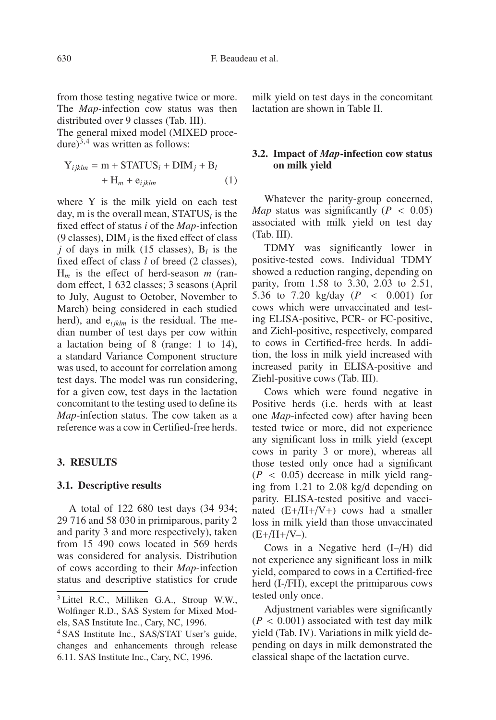from those testing negative twice or more. The *Map*-infection cow status was then distributed over 9 classes (Tab. III).

The general mixed model (MIXED procedure) $3,4$  was written as follows:

$$
Y_{ijklm} = m + STATUS_i + DIM_j + B_l
$$
  
+ H<sub>m</sub> + e<sub>ijklm</sub> (1)

where Y is the milk yield on each test day, m is the overall mean, STATUS*<sup>i</sup>* is the fixed effect of status *i* of the *Map-*infection (9 classes),  $\text{DIM}_i$  is the fixed effect of class *j* of days in milk (15 classes),  $B_l$  is the fixed effect of class *l* of breed (2 classes), H*<sup>m</sup>* is the effect of herd-season *m* (random effect, 1 632 classes; 3 seasons (April to July, August to October, November to March) being considered in each studied herd), and  $e_{i\,iklm}$  is the residual. The median number of test days per cow within a lactation being of 8 (range: 1 to 14), a standard Variance Component structure was used, to account for correlation among test days. The model was run considering, for a given cow, test days in the lactation concomitant to the testing used to define its *Map*-infection status. The cow taken as a reference was a cow in Certified-free herds.

#### **3. RESULTS**

# **3.1. Descriptive results**

A total of 122 680 test days (34 934; 29 716 and 58 030 in primiparous, parity 2 and parity 3 and more respectively), taken from 15 490 cows located in 569 herds was considered for analysis. Distribution of cows according to their *Map*-infection status and descriptive statistics for crude milk yield on test days in the concomitant lactation are shown in Table II.

# **3.2. Impact of** *Map***-infection cow status on milk yield**

Whatever the parity-group concerned, *Map* status was significantly ( $P < 0.05$ ) associated with milk yield on test day (Tab. III).

TDMY was significantly lower in positive-tested cows. Individual TDMY showed a reduction ranging, depending on parity, from 1.58 to 3.30, 2.03 to 2.51, 5.36 to 7.20 kg/day  $(P \le 0.001)$  for cows which were unvaccinated and testing ELISA-positive, PCR- or FC-positive, and Ziehl-positive, respectively, compared to cows in Certified-free herds. In addition, the loss in milk yield increased with increased parity in ELISA-positive and Ziehl-positive cows (Tab. III).

Cows which were found negative in Positive herds (i.e. herds with at least one *Map*-infected cow) after having been tested twice or more, did not experience any significant loss in milk yield (except cows in parity 3 or more), whereas all those tested only once had a significant  $(P < 0.05)$  decrease in milk yield ranging from 1.21 to 2.08 kg/d depending on parity. ELISA-tested positive and vaccinated  $(E+/H+/V+)$  cows had a smaller loss in milk yield than those unvaccinated  $(E+ / H + / V - )$ .

Cows in a Negative herd (I–/H) did not experience any significant loss in milk yield, compared to cows in a Certified-free herd (I-/FH), except the primiparous cows tested only once.

Adjustment variables were significantly  $(P < 0.001)$  associated with test day milk yield (Tab. IV). Variations in milk yield depending on days in milk demonstrated the classical shape of the lactation curve.

<sup>3</sup> Littel R.C., Milliken G.A., Stroup W.W., Wolfinger R.D., SAS System for Mixed Models, SAS Institute Inc., Cary, NC, 1996.

<sup>4</sup> SAS Institute Inc., SAS/STAT User's guide, changes and enhancements through release 6.11. SAS Institute Inc., Cary, NC, 1996.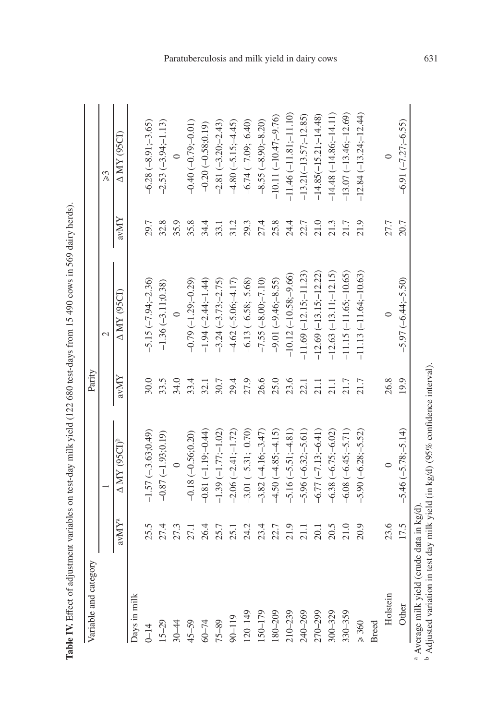| $\text{av} \mathbf{M} \mathbf{Y}^{\text{a}}$ |                                 |               |                          |      |                          |
|----------------------------------------------|---------------------------------|---------------|--------------------------|------|--------------------------|
|                                              |                                 |               | $\mathcal{L}$            |      | $\approx$                |
|                                              | $\Delta$ MY (95CI) <sup>b</sup> | $\text{avMY}$ | A MY (95CI)              | avMY | A MY (95CI)              |
| Jays in milk                                 |                                 |               |                          |      |                          |
| 25.5<br>$0 - 14$                             | $-1.57(-3.63;0.49)$             | 30.0          | $-5.15(-7.94,-2.36)$     | 29.7 | $-6.28(-8.91,-3.65)$     |
| 27.4<br>$15 - 29$                            | $-0.87(-1.93;0.19)$             | 33.5          | $-1.36(-3.11;0.38)$      | 32.8 | $-2.53(-3.94,-1.13)$     |
| 27.3<br>$30 - 44$                            | $\circ$                         | 34.0          | $\circ$                  | 35.9 | $\circ$                  |
| 27.1<br>$45 - 59$                            | $-0.18 (-0.56; 0.20)$           | 33.4          | $-0.79(-1.29,-0.29)$     | 35.8 | $-0.40(-0.79; -0.01)$    |
| 26.4<br>$60 - 74$                            | $-0.81(-1.19,-0.44)$            | 32.1          | $-1.94 (-2.44,-1.44)$    | 34.4 | $-0.20(-0.58;0.19)$      |
| 25.7<br>$75 - 89$                            | $-1.39(-1.77;-1.02)$            | 30.7          | $-3.24 (-3.73,-2.75)$    | 33.1 | $-2.81(-3.20,-2.43)$     |
| 25.1<br>90-119                               | $-2.06 (-2.41;-1.72)$           | 29.4          | $-4.62(-5.06; -4.17)$    | 31.2 | $-4.80(-5.15,-4.45)$     |
| 24.2<br>120-149                              | $-3.01(-5.31;-0.70)$            | 27.9          | $-6.13(-6.58,-5.68)$     | 29.3 | $-6.74(-7.09,-6.40)$     |
| 23.4<br>150-179                              | $-3.82(-4.16,-3.47)$            | 26.6          | $-7.55(-8.00,-7.10)$     | 27.4 | $-8.55(-8.90,-8.20)$     |
| 22.7<br>180-209                              | $-4.50(-4.85; -4.15)$           | 25.0          | $-9.01(-9.46,-8.55)$     | 25.8 | $-10.11(-10.47,-9.76)$   |
| 21.9<br>$210 - 239$                          | $-5.16 (-5.51; -4.81)$          | 23.6          | $-10.12(-10.58,-9.66)$   | 24.4 | $-11.46(-11.81,-11.10)$  |
| 21.1<br>240-269                              | $-5.96 (-6.32; -5.61)$          | 22.1          | $-11.69(-12.15,-11.23)$  | 22.7 | $-13.21(-13.57;-12.85)$  |
| 20.1<br>270-299                              | $-6.77$ $(-7.13,-6.41)$         | 21.1          | $-12.69(-13.15,-12.22)$  | 21.0 | $-14.85(-15.21,-14.48)$  |
| 20.5<br>$300 - 329$                          | $-6.38 (-6.75; -6.02)$          | 21.1          | $-12.63(-13.11,-12.15)$  | 21.3 | $-14.48(-14.86; -14.11)$ |
| 21.0<br>330-359                              | $-6.08 (-6.45; -5.71)$          | 21.7          | $-11.15(-11.65)-10.65)$  | 21.7 | $-13.07(-13.46,-12.69)$  |
| 20.9<br>$\geq 360$                           | $-5.90(-6.28;-5.52)$            | 21.7          | $-11.13(-11.64; -10.63)$ | 21.9 | $-12.84(-13.24,-12.44)$  |
| Breed                                        |                                 |               |                          |      |                          |
| 23.6<br>Holstein                             | $\circ$                         | 26.8          | $\circ$                  | 27.7 |                          |
| 17.5<br>Other                                | $-5.46 (-5.78; -5.14)$          | 19.9          | $-5.97(-6.44;-5.50)$     | 20.7 | $-6.91(-7.27;-6.55)$     |

**Table IV.**  $\mathbf \Xi$ ffect of adjustment variables on test-day milk yield (122 680 test-days from 15 490 cows in 569 dairy herds).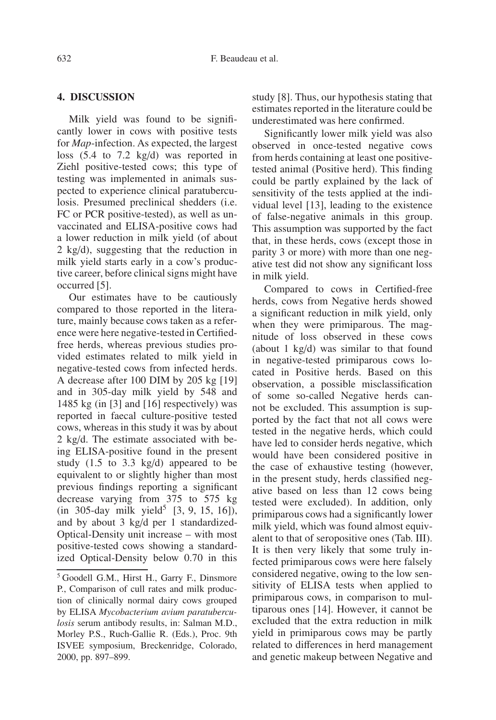# **4. DISCUSSION**

Milk yield was found to be significantly lower in cows with positive tests for *Map*-infection. As expected, the largest loss (5.4 to 7.2 kg/d) was reported in Ziehl positive-tested cows; this type of testing was implemented in animals suspected to experience clinical paratuberculosis. Presumed preclinical shedders (i.e. FC or PCR positive-tested), as well as unvaccinated and ELISA-positive cows had a lower reduction in milk yield (of about 2 kg/d), suggesting that the reduction in milk yield starts early in a cow's productive career, before clinical signs might have occurred [5].

Our estimates have to be cautiously compared to those reported in the literature, mainly because cows taken as a reference were here negative-tested in Certifiedfree herds, whereas previous studies provided estimates related to milk yield in negative-tested cows from infected herds. A decrease after 100 DIM by 205 kg [19] and in 305-day milk yield by 548 and 1485 kg (in [3] and [16] respectively) was reported in faecal culture-positive tested cows, whereas in this study it was by about 2 kg/d. The estimate associated with being ELISA-positive found in the present study (1.5 to 3.3 kg/d) appeared to be equivalent to or slightly higher than most previous findings reporting a significant decrease varying from 375 to 575 kg  $(in 305-day milk yield<sup>5</sup> [3, 9, 15, 16]),$ and by about 3 kg/d per 1 standardized-Optical-Density unit increase – with most positive-tested cows showing a standardized Optical-Density below 0.70 in this study [8]. Thus, our hypothesis stating that estimates reported in the literature could be underestimated was here confirmed.

Significantly lower milk yield was also observed in once-tested negative cows from herds containing at least one positivetested animal (Positive herd). This finding could be partly explained by the lack of sensitivity of the tests applied at the individual level [13], leading to the existence of false-negative animals in this group. This assumption was supported by the fact that, in these herds, cows (except those in parity 3 or more) with more than one negative test did not show any significant loss in milk yield.

Compared to cows in Certified-free herds, cows from Negative herds showed a significant reduction in milk yield, only when they were primiparous. The magnitude of loss observed in these cows (about 1 kg/d) was similar to that found in negative-tested primiparous cows located in Positive herds. Based on this observation, a possible misclassification of some so-called Negative herds cannot be excluded. This assumption is supported by the fact that not all cows were tested in the negative herds, which could have led to consider herds negative, which would have been considered positive in the case of exhaustive testing (however, in the present study, herds classified negative based on less than 12 cows being tested were excluded). In addition, only primiparous cows had a significantly lower milk yield, which was found almost equivalent to that of seropositive ones (Tab. III). It is then very likely that some truly infected primiparous cows were here falsely considered negative, owing to the low sensitivity of ELISA tests when applied to primiparous cows, in comparison to multiparous ones [14]. However, it cannot be excluded that the extra reduction in milk yield in primiparous cows may be partly related to differences in herd management and genetic makeup between Negative and

<sup>&</sup>lt;sup>5</sup> Goodell G.M., Hirst H., Garry F., Dinsmore P., Comparison of cull rates and milk production of clinically normal dairy cows grouped by ELISA *Mycobacterium avium paratuberculosis* serum antibody results, in: Salman M.D., Morley P.S., Ruch-Gallie R. (Eds.), Proc. 9th ISVEE symposium, Breckenridge, Colorado, 2000, pp. 897–899.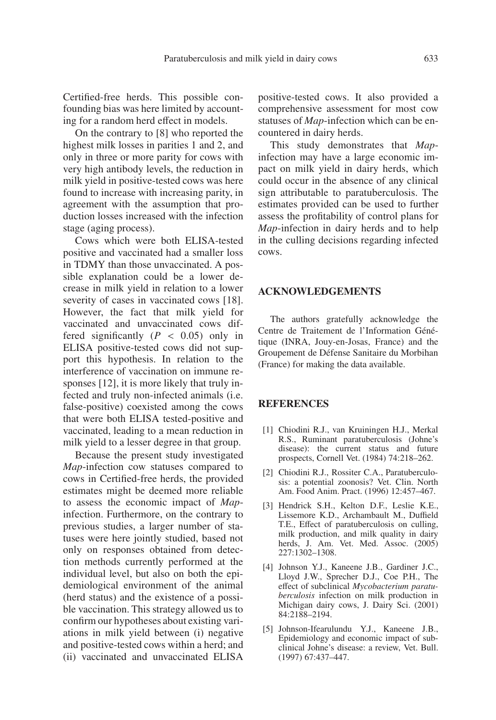Certified-free herds. This possible confounding bias was here limited by accounting for a random herd effect in models.

On the contrary to [8] who reported the highest milk losses in parities 1 and 2, and only in three or more parity for cows with very high antibody levels, the reduction in milk yield in positive-tested cows was here found to increase with increasing parity, in agreement with the assumption that production losses increased with the infection stage (aging process).

Cows which were both ELISA-tested positive and vaccinated had a smaller loss in TDMY than those unvaccinated. A possible explanation could be a lower decrease in milk yield in relation to a lower severity of cases in vaccinated cows [18]. However, the fact that milk yield for vaccinated and unvaccinated cows differed significantly  $(P < 0.05)$  only in ELISA positive-tested cows did not support this hypothesis. In relation to the interference of vaccination on immune responses [12], it is more likely that truly infected and truly non-infected animals (i.e. false-positive) coexisted among the cows that were both ELISA tested-positive and vaccinated, leading to a mean reduction in milk yield to a lesser degree in that group.

Because the present study investigated *Map*-infection cow statuses compared to cows in Certified-free herds, the provided estimates might be deemed more reliable to assess the economic impact of *Map*infection. Furthermore, on the contrary to previous studies, a larger number of statuses were here jointly studied, based not only on responses obtained from detection methods currently performed at the individual level, but also on both the epidemiological environment of the animal (herd status) and the existence of a possible vaccination. This strategy allowed us to confirm our hypotheses about existing variations in milk yield between (i) negative and positive-tested cows within a herd; and (ii) vaccinated and unvaccinated ELISA positive-tested cows. It also provided a comprehensive assessment for most cow statuses of *Map*-infection which can be encountered in dairy herds.

This study demonstrates that *Map*infection may have a large economic impact on milk yield in dairy herds, which could occur in the absence of any clinical sign attributable to paratuberculosis. The estimates provided can be used to further assess the profitability of control plans for *Map*-infection in dairy herds and to help in the culling decisions regarding infected cows.

#### **ACKNOWLEDGEMENTS**

The authors gratefully acknowledge the Centre de Traitement de l'Information Génétique (INRA, Jouy-en-Josas, France) and the Groupement de Défense Sanitaire du Morbihan (France) for making the data available.

#### **REFERENCES**

- [1] Chiodini R.J., van Kruiningen H.J., Merkal R.S., Ruminant paratuberculosis (Johne's disease): the current status and future prospects, Cornell Vet. (1984) 74:218–262.
- [2] Chiodini R.J., Rossiter C.A., Paratuberculosis: a potential zoonosis? Vet. Clin. North Am. Food Anim. Pract. (1996) 12:457–467.
- [3] Hendrick S.H., Kelton D.F., Leslie K.E., Lissemore K.D., Archambault M., Duffield T.E., Effect of paratuberculosis on culling, milk production, and milk quality in dairy herds, J. Am. Vet. Med. Assoc. (2005) 227:1302–1308.
- [4] Johnson Y.J., Kaneene J.B., Gardiner J.C., Lloyd J.W., Sprecher D.J., Coe P.H., The effect of subclinical *Mycobacterium paratuberculosis* infection on milk production in Michigan dairy cows, J. Dairy Sci. (2001) 84:2188–2194.
- [5] Johnson-Ifearulundu Y.J., Kaneene J.B., Epidemiology and economic impact of subclinical Johne's disease: a review, Vet. Bull. (1997) 67:437–447.